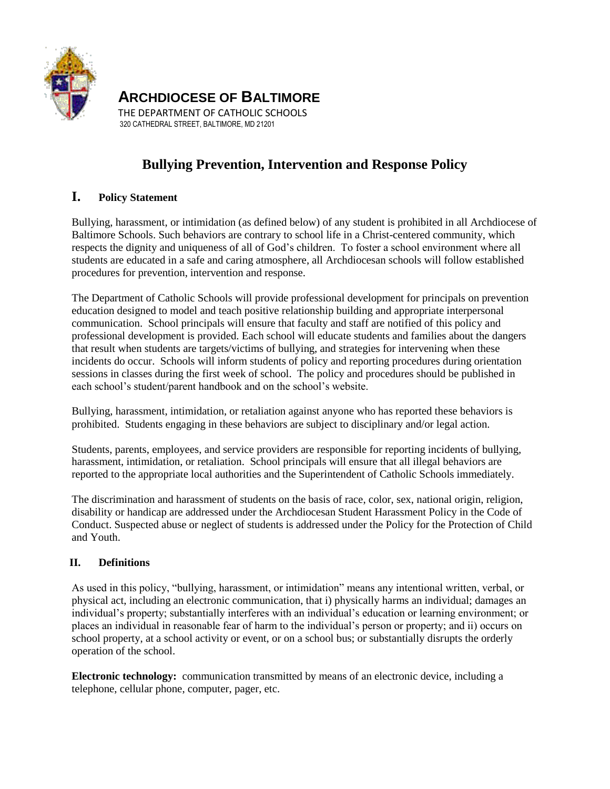

**ARCHDIOCESE OF BALTIMORE**

THE DEPARTMENT OF CATHOLIC SCHOOLS 320 CATHEDRAL STREET, BALTIMORE, MD 21201

# **Bullying Prevention, Intervention and Response Policy**

# **I. Policy Statement**

Bullying, harassment, or intimidation (as defined below) of any student is prohibited in all Archdiocese of Baltimore Schools. Such behaviors are contrary to school life in a Christ-centered community, which respects the dignity and uniqueness of all of God's children. To foster a school environment where all students are educated in a safe and caring atmosphere, all Archdiocesan schools will follow established procedures for prevention, intervention and response.

The Department of Catholic Schools will provide professional development for principals on prevention education designed to model and teach positive relationship building and appropriate interpersonal communication. School principals will ensure that faculty and staff are notified of this policy and professional development is provided. Each school will educate students and families about the dangers that result when students are targets/victims of bullying, and strategies for intervening when these incidents do occur. Schools will inform students of policy and reporting procedures during orientation sessions in classes during the first week of school. The policy and procedures should be published in each school's student/parent handbook and on the school's website.

Bullying, harassment, intimidation, or retaliation against anyone who has reported these behaviors is prohibited. Students engaging in these behaviors are subject to disciplinary and/or legal action.

Students, parents, employees, and service providers are responsible for reporting incidents of bullying, harassment, intimidation, or retaliation. School principals will ensure that all illegal behaviors are reported to the appropriate local authorities and the Superintendent of Catholic Schools immediately.

The discrimination and harassment of students on the basis of race, color, sex, national origin, religion, disability or handicap are addressed under the Archdiocesan Student Harassment Policy in the Code of Conduct. Suspected abuse or neglect of students is addressed under the Policy for the Protection of Child and Youth.

# **II. Definitions**

As used in this policy, "bullying, harassment, or intimidation" means any intentional written, verbal, or physical act, including an electronic communication, that i) physically harms an individual; damages an individual's property; substantially interferes with an individual's education or learning environment; or places an individual in reasonable fear of harm to the individual's person or property; and ii) occurs on school property, at a school activity or event, or on a school bus; or substantially disrupts the orderly operation of the school.

**Electronic technology:** communication transmitted by means of an electronic device, including a telephone, cellular phone, computer, pager, etc.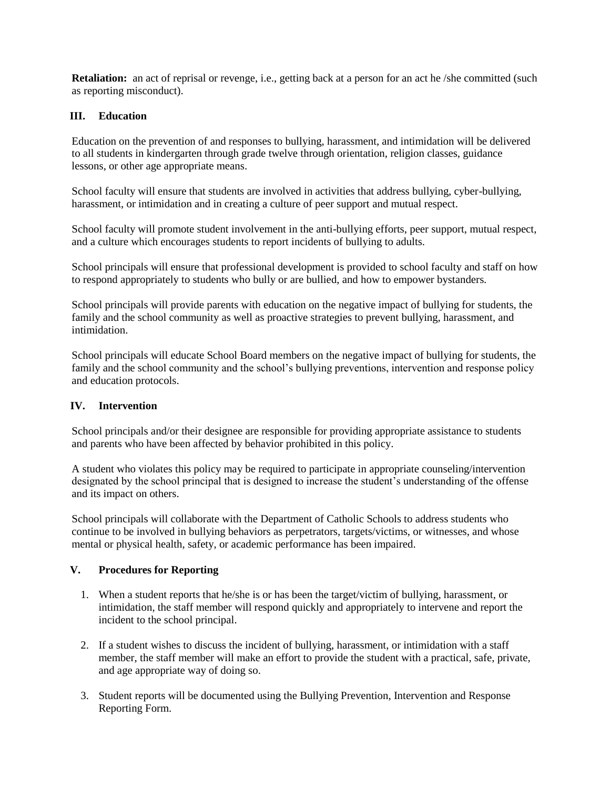**Retaliation:** an act of reprisal or revenge, i.e., getting back at a person for an act he /she committed (such as reporting misconduct).

## **III. Education**

Education on the prevention of and responses to bullying, harassment, and intimidation will be delivered to all students in kindergarten through grade twelve through orientation, religion classes, guidance lessons, or other age appropriate means.

School faculty will ensure that students are involved in activities that address bullying, cyber-bullying, harassment, or intimidation and in creating a culture of peer support and mutual respect.

School faculty will promote student involvement in the anti-bullying efforts, peer support, mutual respect, and a culture which encourages students to report incidents of bullying to adults.

School principals will ensure that professional development is provided to school faculty and staff on how to respond appropriately to students who bully or are bullied, and how to empower bystanders.

School principals will provide parents with education on the negative impact of bullying for students, the family and the school community as well as proactive strategies to prevent bullying, harassment, and intimidation.

School principals will educate School Board members on the negative impact of bullying for students, the family and the school community and the school's bullying preventions, intervention and response policy and education protocols.

## **IV. Intervention**

School principals and/or their designee are responsible for providing appropriate assistance to students and parents who have been affected by behavior prohibited in this policy.

A student who violates this policy may be required to participate in appropriate counseling/intervention designated by the school principal that is designed to increase the student's understanding of the offense and its impact on others.

School principals will collaborate with the Department of Catholic Schools to address students who continue to be involved in bullying behaviors as perpetrators, targets/victims, or witnesses, and whose mental or physical health, safety, or academic performance has been impaired.

## **V. Procedures for Reporting**

- 1. When a student reports that he/she is or has been the target/victim of bullying, harassment, or intimidation, the staff member will respond quickly and appropriately to intervene and report the incident to the school principal.
- 2. If a student wishes to discuss the incident of bullying, harassment, or intimidation with a staff member, the staff member will make an effort to provide the student with a practical, safe, private, and age appropriate way of doing so.
- 3. Student reports will be documented using the Bullying Prevention, Intervention and Response Reporting Form.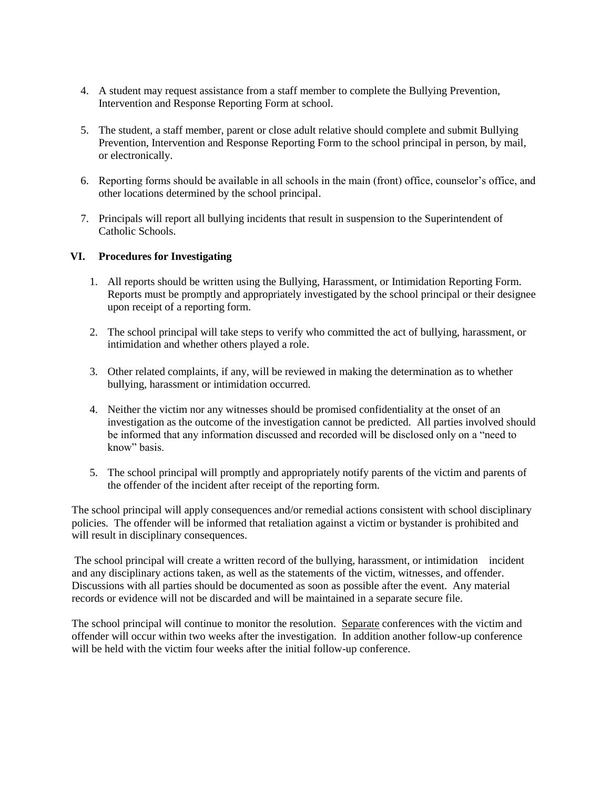- 4. A student may request assistance from a staff member to complete the Bullying Prevention, Intervention and Response Reporting Form at school.
- 5. The student, a staff member, parent or close adult relative should complete and submit Bullying Prevention, Intervention and Response Reporting Form to the school principal in person, by mail, or electronically.
- 6. Reporting forms should be available in all schools in the main (front) office, counselor's office, and other locations determined by the school principal.
- 7. Principals will report all bullying incidents that result in suspension to the Superintendent of Catholic Schools.

#### **VI. Procedures for Investigating**

- 1. All reports should be written using the Bullying, Harassment, or Intimidation Reporting Form. Reports must be promptly and appropriately investigated by the school principal or their designee upon receipt of a reporting form.
- 2. The school principal will take steps to verify who committed the act of bullying, harassment, or intimidation and whether others played a role.
- 3. Other related complaints, if any, will be reviewed in making the determination as to whether bullying, harassment or intimidation occurred.
- 4. Neither the victim nor any witnesses should be promised confidentiality at the onset of an investigation as the outcome of the investigation cannot be predicted. All parties involved should be informed that any information discussed and recorded will be disclosed only on a "need to know" basis.
- 5. The school principal will promptly and appropriately notify parents of the victim and parents of the offender of the incident after receipt of the reporting form.

The school principal will apply consequences and/or remedial actions consistent with school disciplinary policies*.* The offender will be informed that retaliation against a victim or bystander is prohibited and will result in disciplinary consequences.

The school principal will create a written record of the bullying, harassment, or intimidation incident and any disciplinary actions taken, as well as the statements of the victim, witnesses, and offender. Discussions with all parties should be documented as soon as possible after the event. Any material records or evidence will not be discarded and will be maintained in a separate secure file.

The school principal will continue to monitor the resolution. Separate conferences with the victim and offender will occur within two weeks after the investigation. In addition another follow-up conference will be held with the victim four weeks after the initial follow-up conference.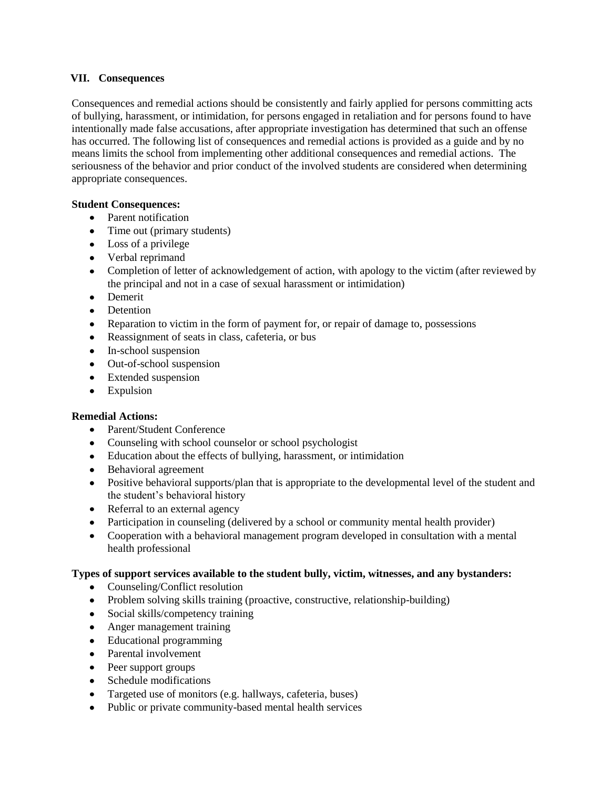#### **VII. Consequences**

Consequences and remedial actions should be consistently and fairly applied for persons committing acts of bullying, harassment, or intimidation, for persons engaged in retaliation and for persons found to have intentionally made false accusations, after appropriate investigation has determined that such an offense has occurred. The following list of consequences and remedial actions is provided as a guide and by no means limits the school from implementing other additional consequences and remedial actions. The seriousness of the behavior and prior conduct of the involved students are considered when determining appropriate consequences.

#### **Student Consequences:**

- Parent notification
- Time out (primary students)
- Loss of a privilege
- Verbal reprimand
- Completion of letter of acknowledgement of action, with apology to the victim (after reviewed by the principal and not in a case of sexual harassment or intimidation)
- Demerit
- Detention
- Reparation to victim in the form of payment for, or repair of damage to, possessions
- Reassignment of seats in class, cafeteria, or bus
- In-school suspension
- Out-of-school suspension
- Extended suspension
- Expulsion

#### **Remedial Actions:**

- Parent/Student Conference
- Counseling with school counselor or school psychologist
- Education about the effects of bullying, harassment, or intimidation
- Behavioral agreement
- Positive behavioral supports/plan that is appropriate to the developmental level of the student and the student's behavioral history
- Referral to an external agency
- Participation in counseling (delivered by a school or community mental health provider)
- Cooperation with a behavioral management program developed in consultation with a mental health professional

#### **Types of support services available to the student bully, victim, witnesses, and any bystanders:**

- Counseling/Conflict resolution
- Problem solving skills training (proactive, constructive, relationship-building)
- Social skills/competency training
- Anger management training
- Educational programming
- Parental involvement
- Peer support groups
- $\bullet$ Schedule modifications
- Targeted use of monitors (e.g. hallways, cafeteria, buses)
- Public or private community-based mental health services